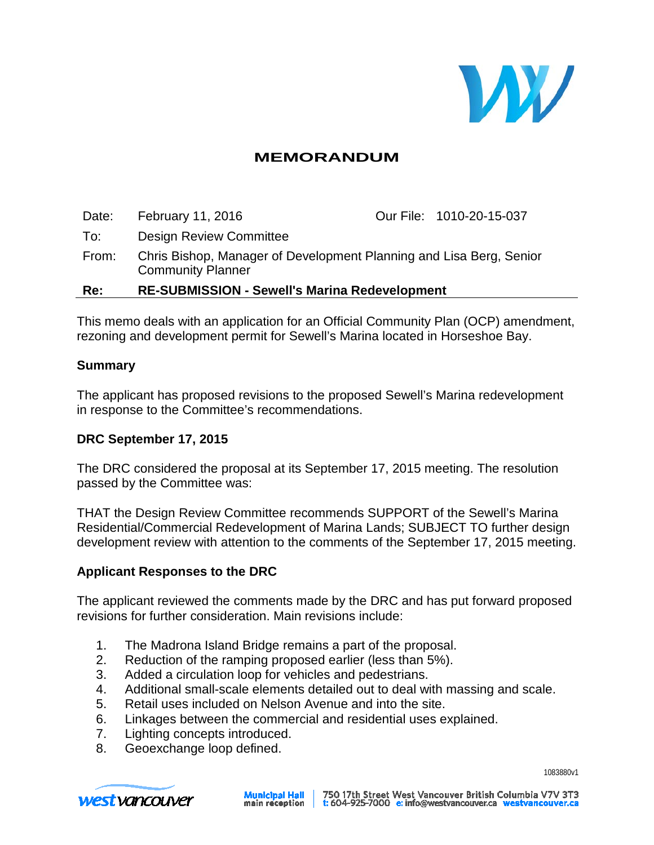

## **MEMORANDUM**

Date: February 11, 2016 **Our File: 1010-20-15-037** To: Design Review Committee From: Chris Bishop, Manager of Development Planning and Lisa Berg, Senior Community Planner **Re: RE-SUBMISSION - Sewell's Marina Redevelopment**

This memo deals with an application for an Official Community Plan (OCP) amendment, rezoning and development permit for Sewell's Marina located in Horseshoe Bay.

#### **Summary**

The applicant has proposed revisions to the proposed Sewell's Marina redevelopment in response to the Committee's recommendations.

#### **DRC September 17, 2015**

The DRC considered the proposal at its September 17, 2015 meeting. The resolution passed by the Committee was:

THAT the Design Review Committee recommends SUPPORT of the Sewell's Marina Residential/Commercial Redevelopment of Marina Lands; SUBJECT TO further design development review with attention to the comments of the September 17, 2015 meeting.

#### **Applicant Responses to the DRC**

The applicant reviewed the comments made by the DRC and has put forward proposed revisions for further consideration. Main revisions include:

- 1. The Madrona Island Bridge remains a part of the proposal.
- 2. Reduction of the ramping proposed earlier (less than 5%).
- 3. Added a circulation loop for vehicles and pedestrians.
- 4. Additional small-scale elements detailed out to deal with massing and scale.
- 5. Retail uses included on Nelson Avenue and into the site.
- 6. Linkages between the commercial and residential uses explained.
- 7. Lighting concepts introduced.
- 8. Geoexchange loop defined.



**Municipal Hall**<br>main reception

1083880v1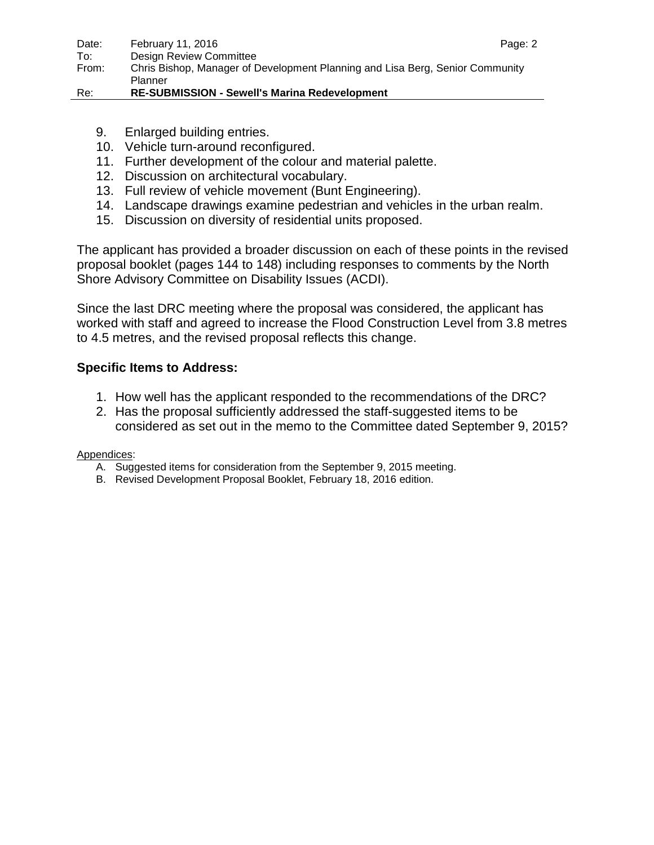- 9. Enlarged building entries.
- 10. Vehicle turn-around reconfigured.
- 11. Further development of the colour and material palette.
- 12. Discussion on architectural vocabulary.
- 13. Full review of vehicle movement (Bunt Engineering).
- 14. Landscape drawings examine pedestrian and vehicles in the urban realm.
- 15. Discussion on diversity of residential units proposed.

The applicant has provided a broader discussion on each of these points in the revised proposal booklet (pages 144 to 148) including responses to comments by the North Shore Advisory Committee on Disability Issues (ACDI).

Since the last DRC meeting where the proposal was considered, the applicant has worked with staff and agreed to increase the Flood Construction Level from 3.8 metres to 4.5 metres, and the revised proposal reflects this change.

### **Specific Items to Address:**

- 1. How well has the applicant responded to the recommendations of the DRC?
- 2. Has the proposal sufficiently addressed the staff-suggested items to be considered as set out in the memo to the Committee dated September 9, 2015?

Appendices:

- A. Suggested items for consideration from the September 9, 2015 meeting.
- B. Revised Development Proposal Booklet, February 18, 2016 edition.